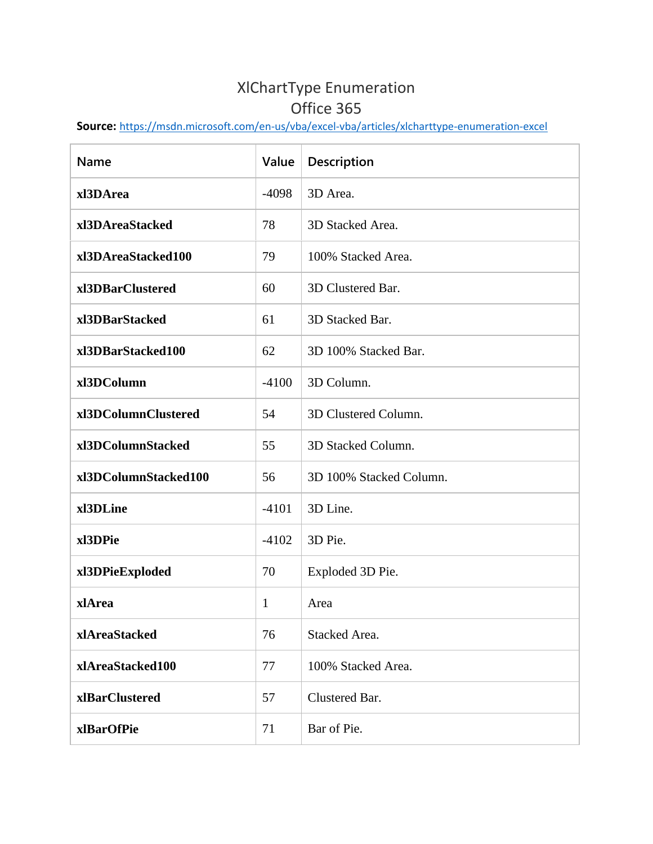## XlChartType Enumeration Office 365

**Source:** <https://msdn.microsoft.com/en-us/vba/excel-vba/articles/xlcharttype-enumeration-excel>

| <b>Name</b>          | Value   | Description             |
|----------------------|---------|-------------------------|
| xl3DArea             | $-4098$ | 3D Area.                |
| xl3DAreaStacked      | 78      | 3D Stacked Area.        |
| xl3DAreaStacked100   | 79      | 100% Stacked Area.      |
| xl3DBarClustered     | 60      | 3D Clustered Bar.       |
| xl3DBarStacked       | 61      | 3D Stacked Bar.         |
| xl3DBarStacked100    | 62      | 3D 100% Stacked Bar.    |
| xl3DColumn           | $-4100$ | 3D Column.              |
| xl3DColumnClustered  | 54      | 3D Clustered Column.    |
| xl3DColumnStacked    | 55      | 3D Stacked Column.      |
| xl3DColumnStacked100 | 56      | 3D 100% Stacked Column. |
| xl3DLine             | $-4101$ | 3D Line.                |
| xl3DPie              | $-4102$ | 3D Pie.                 |
| xl3DPieExploded      | 70      | Exploded 3D Pie.        |
| xlArea               | 1       | Area                    |
| xlAreaStacked        | 76      | Stacked Area.           |
| xlAreaStacked100     | 77      | 100% Stacked Area.      |
| xlBarClustered       | 57      | Clustered Bar.          |
| xlBarOfPie           | 71      | Bar of Pie.             |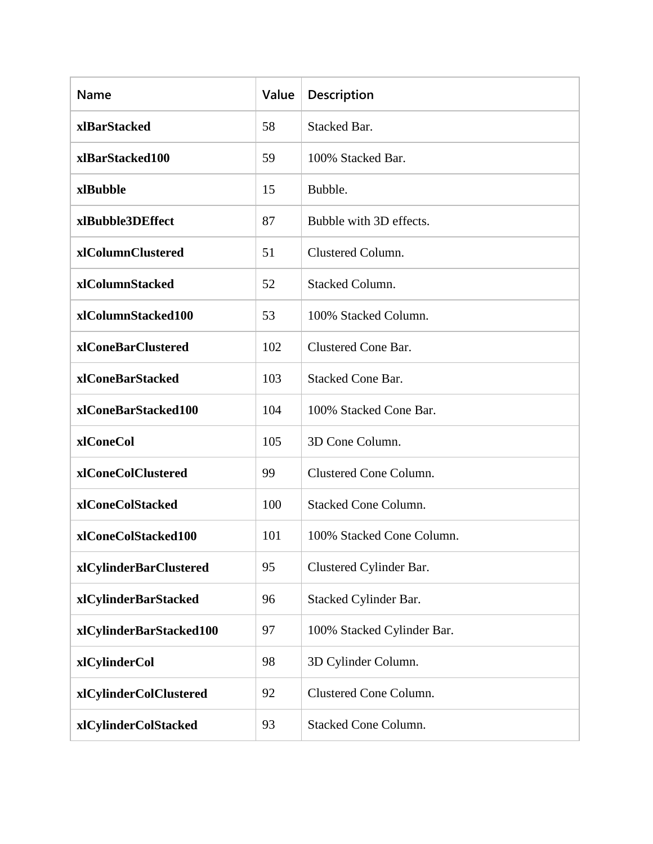| <b>Name</b>             | Value | Description                 |
|-------------------------|-------|-----------------------------|
| xlBarStacked            | 58    | <b>Stacked Bar.</b>         |
| xlBarStacked100         | 59    | 100% Stacked Bar.           |
| xlBubble                | 15    | Bubble.                     |
| xlBubble3DEffect        | 87    | Bubble with 3D effects.     |
| xlColumnClustered       | 51    | Clustered Column.           |
| xlColumnStacked         | 52    | <b>Stacked Column.</b>      |
| xlColumnStacked100      | 53    | 100% Stacked Column.        |
| xlConeBarClustered      | 102   | Clustered Cone Bar.         |
| xlConeBarStacked        | 103   | <b>Stacked Cone Bar.</b>    |
| xlConeBarStacked100     | 104   | 100% Stacked Cone Bar.      |
| xlConeCol               | 105   | 3D Cone Column.             |
| xlConeColClustered      | 99    | Clustered Cone Column.      |
| xlConeColStacked        | 100   | <b>Stacked Cone Column.</b> |
| xlConeColStacked100     | 101   | 100% Stacked Cone Column.   |
| xlCylinderBarClustered  | 95    | Clustered Cylinder Bar.     |
| xlCylinderBarStacked    | 96    | Stacked Cylinder Bar.       |
| xlCylinderBarStacked100 | 97    | 100% Stacked Cylinder Bar.  |
| xlCylinderCol           | 98    | 3D Cylinder Column.         |
| xlCylinderColClustered  | 92    | Clustered Cone Column.      |
| xlCylinderColStacked    | 93    | <b>Stacked Cone Column.</b> |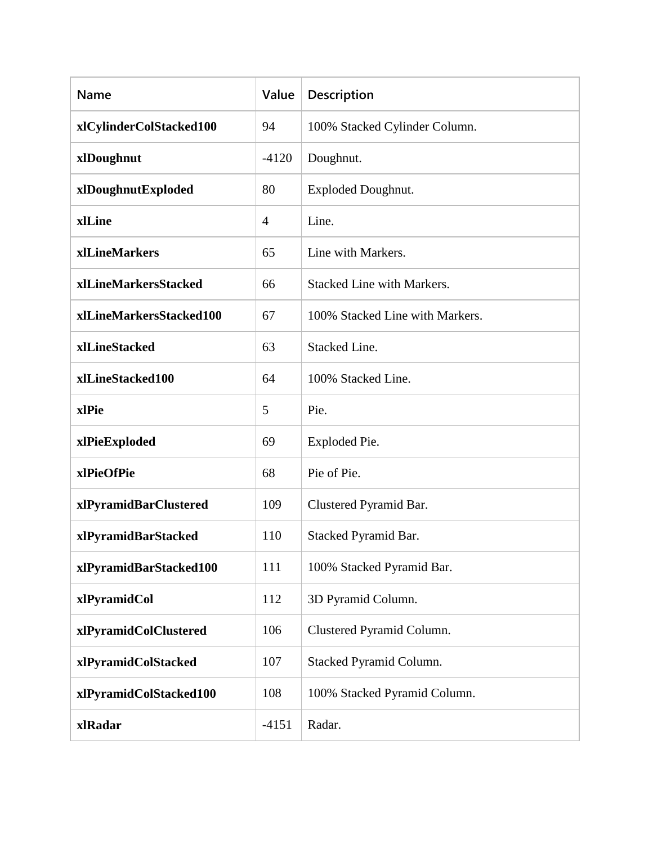| Name                    | Value          | Description                       |
|-------------------------|----------------|-----------------------------------|
| xlCylinderColStacked100 | 94             | 100% Stacked Cylinder Column.     |
| xlDoughnut              | $-4120$        | Doughnut.                         |
| xlDoughnutExploded      | 80             | <b>Exploded Doughnut.</b>         |
| xlLine                  | $\overline{4}$ | Line.                             |
| xlLineMarkers           | 65             | Line with Markers.                |
| xlLineMarkersStacked    | 66             | <b>Stacked Line with Markers.</b> |
| xlLineMarkersStacked100 | 67             | 100% Stacked Line with Markers.   |
| xlLineStacked           | 63             | Stacked Line.                     |
| xlLineStacked100        | 64             | 100% Stacked Line.                |
| xlPie                   | 5              | Pie.                              |
| xlPieExploded           | 69             | Exploded Pie.                     |
| xlPieOfPie              | 68             | Pie of Pie.                       |
| xlPyramidBarClustered   | 109            | Clustered Pyramid Bar.            |
| xlPyramidBarStacked     | 110            | Stacked Pyramid Bar.              |
| xlPyramidBarStacked100  | 111            | 100% Stacked Pyramid Bar.         |
| xlPyramidCol            | 112            | 3D Pyramid Column.                |
| xlPyramidColClustered   | 106            | Clustered Pyramid Column.         |
| xlPyramidColStacked     | 107            | Stacked Pyramid Column.           |
| xlPyramidColStacked100  | 108            | 100% Stacked Pyramid Column.      |
| xlRadar                 | $-4151$        | Radar.                            |